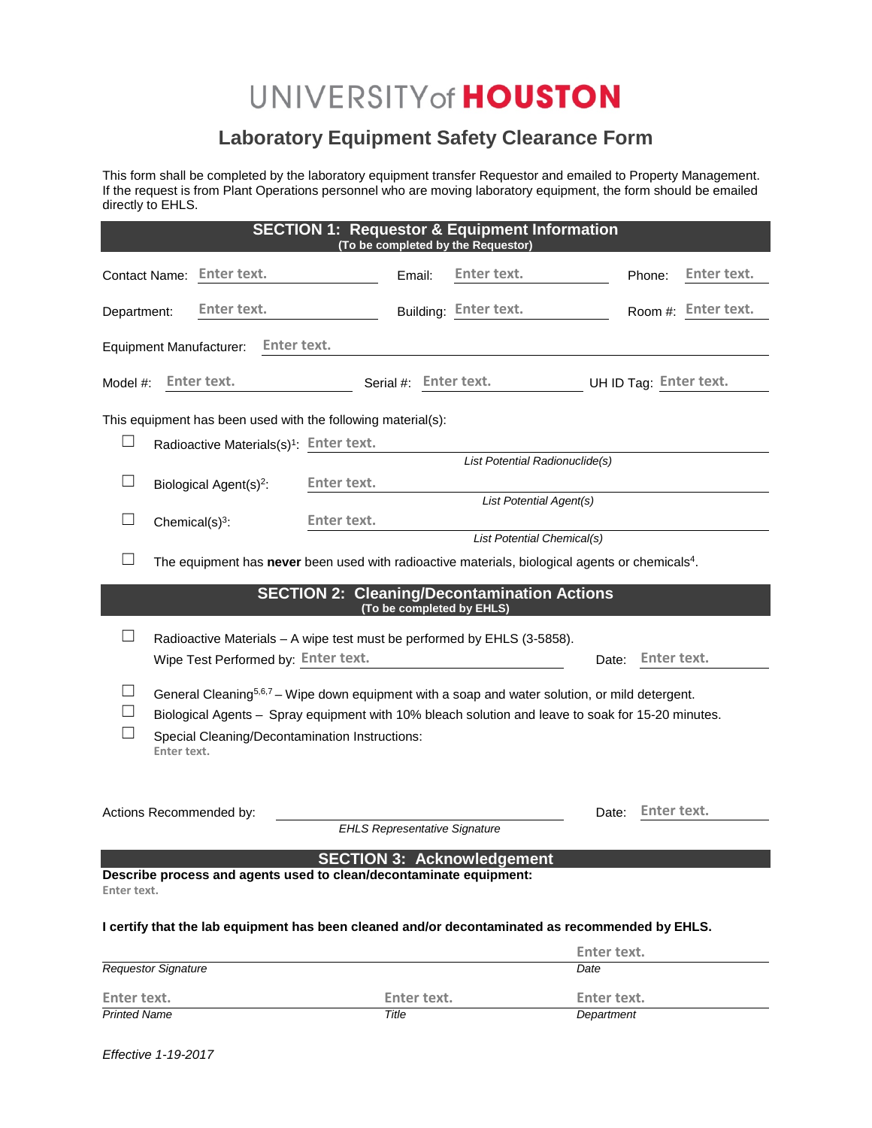## UNIVERSITY of **HOUSTON**

## **Laboratory Equipment Safety Clearance Form**

This form shall be completed by the laboratory equipment transfer Requestor and emailed to Property Management. If the request is from Plant Operations personnel who are moving laboratory equipment, the form should be emailed directly to EHLS.

| <b>SECTION 1: Requestor &amp; Equipment Information</b><br>(To be completed by the Requestor)               |                                                                                                            |                         |                       |                       |       |             |                        |  |  |
|-------------------------------------------------------------------------------------------------------------|------------------------------------------------------------------------------------------------------------|-------------------------|-----------------------|-----------------------|-------|-------------|------------------------|--|--|
| Contact Name: Enter text.                                                                                   |                                                                                                            |                         | Email:                | Enter text.           |       | Phone:      | Enter text.            |  |  |
| Department:                                                                                                 | Enter text.                                                                                                |                         |                       | Building: Enter text. |       |             | Room #: Enter text.    |  |  |
| Enter text.<br><b>Equipment Manufacturer:</b>                                                               |                                                                                                            |                         |                       |                       |       |             |                        |  |  |
| Enter text.<br>Model #:                                                                                     |                                                                                                            |                         | Serial #: Enter text. |                       |       |             | UH ID Tag: Enter text. |  |  |
| This equipment has been used with the following material(s):                                                |                                                                                                            |                         |                       |                       |       |             |                        |  |  |
| $\Box$<br>Radioactive Materials(s) <sup>1</sup> : Enter text.                                               |                                                                                                            |                         |                       |                       |       |             |                        |  |  |
|                                                                                                             | List Potential Radionuclide(s)                                                                             |                         |                       |                       |       |             |                        |  |  |
| $\Box$                                                                                                      | Biological Agent(s) <sup>2</sup> :                                                                         | Enter text.             |                       |                       |       |             |                        |  |  |
|                                                                                                             |                                                                                                            | List Potential Agent(s) |                       |                       |       |             |                        |  |  |
| Chemical $(s)^3$ :                                                                                          |                                                                                                            | <b>Enter text.</b>      |                       |                       |       |             |                        |  |  |
|                                                                                                             | List Potential Chemical(s)                                                                                 |                         |                       |                       |       |             |                        |  |  |
| The equipment has never been used with radioactive materials, biological agents or chemicals <sup>4</sup> . |                                                                                                            |                         |                       |                       |       |             |                        |  |  |
| <b>SECTION 2: Cleaning/Decontamination Actions</b>                                                          |                                                                                                            |                         |                       |                       |       |             |                        |  |  |
| (To be completed by EHLS)                                                                                   |                                                                                                            |                         |                       |                       |       |             |                        |  |  |
| $\vert \ \ \vert$                                                                                           |                                                                                                            |                         |                       |                       |       |             |                        |  |  |
| Radioactive Materials - A wipe test must be performed by EHLS (3-5858).                                     |                                                                                                            |                         |                       |                       |       |             |                        |  |  |
| Wipe Test Performed by: Enter text.<br>Enter text.<br>Date:                                                 |                                                                                                            |                         |                       |                       |       |             |                        |  |  |
| $\Box$                                                                                                      | General Cleaning <sup>5,6,7</sup> – Wipe down equipment with a soap and water solution, or mild detergent. |                         |                       |                       |       |             |                        |  |  |
|                                                                                                             | Biological Agents - Spray equipment with 10% bleach solution and leave to soak for 15-20 minutes.          |                         |                       |                       |       |             |                        |  |  |
|                                                                                                             | Special Cleaning/Decontamination Instructions:                                                             |                         |                       |                       |       |             |                        |  |  |
| Enter text.                                                                                                 |                                                                                                            |                         |                       |                       |       |             |                        |  |  |
|                                                                                                             |                                                                                                            |                         |                       |                       |       |             |                        |  |  |
|                                                                                                             |                                                                                                            |                         |                       |                       |       |             |                        |  |  |
| Actions Recommended by:                                                                                     |                                                                                                            |                         |                       |                       | Date: | Enter text. |                        |  |  |
| <b>EHLS Representative Signature</b>                                                                        |                                                                                                            |                         |                       |                       |       |             |                        |  |  |
| <b>SECTION 3: Acknowledgement</b>                                                                           |                                                                                                            |                         |                       |                       |       |             |                        |  |  |
| Describe process and agents used to clean/decontaminate equipment:<br>Enter text.                           |                                                                                                            |                         |                       |                       |       |             |                        |  |  |
|                                                                                                             |                                                                                                            |                         |                       |                       |       |             |                        |  |  |
| I certify that the lab equipment has been cleaned and/or decontaminated as recommended by EHLS.             |                                                                                                            |                         |                       |                       |       |             |                        |  |  |
|                                                                                                             | Enter text.                                                                                                |                         |                       |                       |       |             |                        |  |  |

| <b>Requestor Signature</b> |             | Date        |
|----------------------------|-------------|-------------|
| Enter text.                | Enter text. | Enter text. |
| <b>Printed Name</b>        | Title       | Department  |

*Effective 1-19-2017*